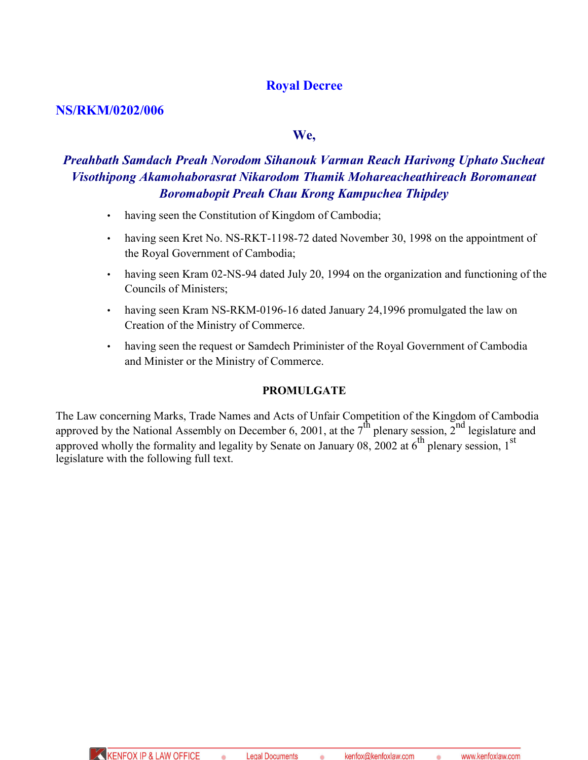# **Royal Decree**

# **NS/RKM/0202/006**

## **We,**

# *Preahbath Samdach Preah Norodom Sihanouk Varman Reach Harivong Uphato Sucheat Visothipong Akamohaborasrat Nikarodom Thamik Mohareacheathireach Boromaneat Boromabopit Preah Chau Krong Kampuchea Thipdey*

- having seen the Constitution of Kingdom of Cambodia;
- having seen Kret No. NS-RKT-1198-72 dated November 30, 1998 on the appointment of the Royal Government of Cambodia;
- having seen Kram 02-NS-94 dated July 20, 1994 on the organization and functioning of the Councils of Ministers;
- having seen Kram NS-RKM-0196-16 dated January 24,1996 promulgated the law on Creation of the Ministry of Commerce.
- having seen the request or Samdech Priminister of the Royal Government of Cambodia and Minister or the Ministry of Commerce.

## **PROMULGATE**

The Law concerning Marks, Trade Names and Acts of Unfair Competition of the Kingdom of Cambodia approved by the National Assembly on December 6, 2001, at the  $7<sup>th</sup>$  plenary session,  $2<sup>nd</sup>$  legislature and approved wholly the formality and legality by Senate on January 08, 2002 at  $6^{th}$  plenary session, 1<sup>st</sup> legislature with the following full text.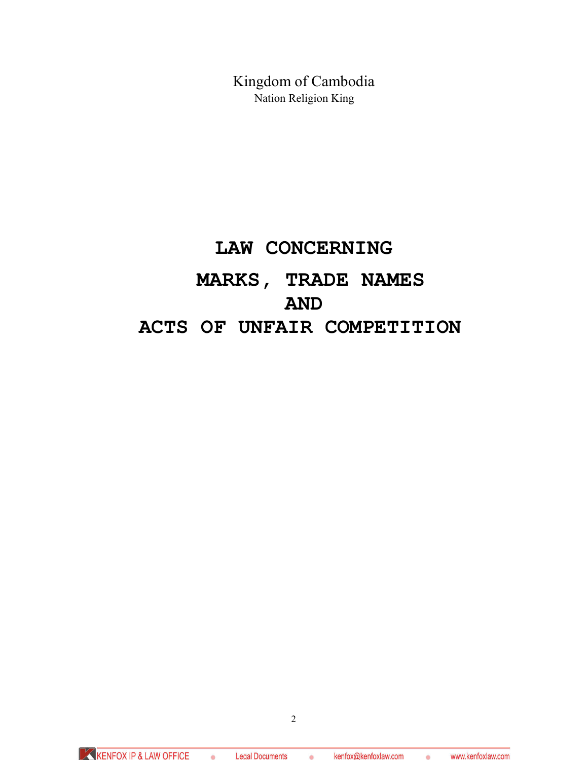Kingdom of Cambodia Nation Religion King

# **LAW CONCERNING MARKS, TRADE NAMES AND ACTS OF UNFAIR COMPETITION**

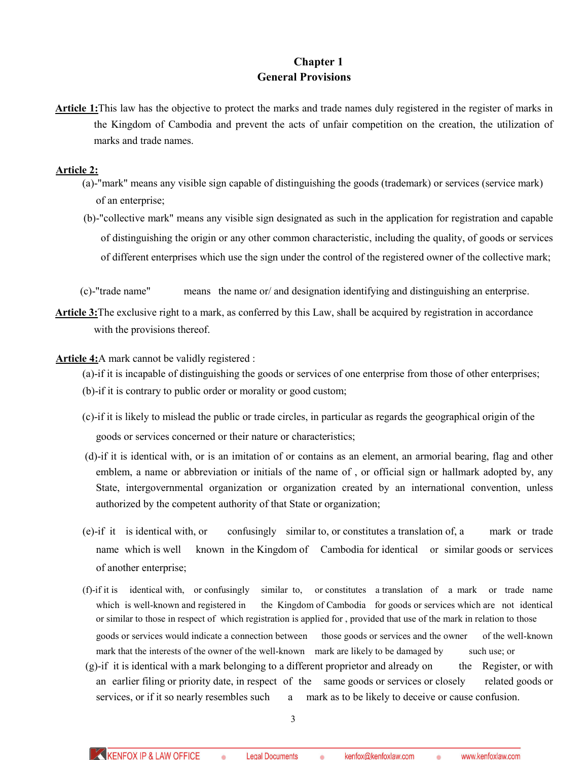# **Chapter 1 General Provisions**

**Article 1:**This law has the objective to protect the marks and trade names duly registered in the register of marks in the Kingdom of Cambodia and prevent the acts of unfair competition on the creation, the utilization of marks and trade names.

#### **Article 2:**

- (a)-"mark" means any visible sign capable of distinguishing the goods (trademark) or services (service mark) of an enterprise;
- (b)-"collective mark" means any visible sign designated as such in the application for registration and capable of distinguishing the origin or any other common characteristic, including the quality, of goods or services of different enterprises which use the sign under the control of the registered owner of the collective mark;
- (c)-"trade name" means the name or/ and designation identifying and distinguishing an enterprise.
- **Article 3:**The exclusive right to a mark, as conferred by this Law, shall be acquired by registration in accordance with the provisions thereof.

#### **Article 4:**A mark cannot be validly registered :

- (a)-if it is incapable of distinguishing the goods or services of one enterprise from those of other enterprises; (b)-if it is contrary to public order or morality or good custom;
- (c)-if it is likely to mislead the public or trade circles, in particular as regards the geographical origin of the goods or services concerned or their nature or characteristics;
- (d)-if it is identical with, or is an imitation of or contains as an element, an armorial bearing, flag and other emblem, a name or abbreviation or initials of the name of , or official sign or hallmark adopted by, any State, intergovernmental organization or organization created by an international convention, unless authorized by the competent authority of that State or organization;
- (e)-if it is identical with, or confusingly similar to, or constitutes a translation of, a mark or trade name which is well known in the Kingdom of Cambodia for identical or similar goods or services of another enterprise;
- (f)-if it is identical with, or confusingly similar to, or constitutes a translation of a mark or trade name which is well-known and registered in the Kingdom of Cambodia for goods or services which are not identical or similar to those in respect of which registration is applied for , provided that use of the mark in relation to those goods or services would indicate a connection between those goods or services and the owner of the well-known mark that the interests of the owner of the well-known mark are likely to be damaged by such use; or
- $(g)$ -if it is identical with a mark belonging to a different proprietor and already on the Register, or with an earlier filing or priority date, in respect of the same goods or services or closely related goods or services, or if it so nearly resembles such a mark as to be likely to deceive or cause confusion.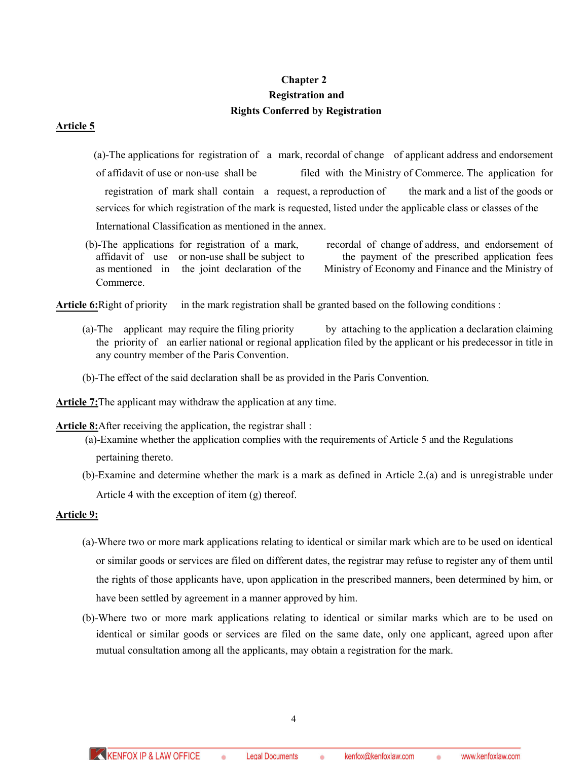# **Chapter 2 Registration and Rights Conferred by Registration**

#### **Article 5**

- (a)-The applications for registration of a mark, recordal of change of applicant address and endorsement of affidavit of use or non-use shall be filed with the Ministry of Commerce. The application for registration of mark shall contain a request, a reproduction of the mark and a list of the goods or services for which registration of the mark is requested, listed under the applicable class or classes of the International Classification as mentioned in the annex.
- (b)-The applications for registration of a mark, recordal of change of address, and endorsement of affidavit of use or non-use shall be subject to the payment of the prescribed application fees as mentioned in the joint declaration of the Ministry of Economy and Finance and the Ministry of Commerce.

**Article 6:**Right of priority in the mark registration shall be granted based on the following conditions :

- (a)-The applicant may require the filing priority by attaching to the application a declaration claiming the priority of an earlier national or regional application filed by the applicant or his predecessor in title in any country member of the Paris Convention.
- (b)-The effect of the said declaration shall be as provided in the Paris Convention.

**Article 7:**The applicant may withdraw the application at any time.

**Article 8:**After receiving the application, the registrar shall :

- (a)-Examine whether the application complies with the requirements of Article 5 and the Regulations pertaining thereto.
- (b)-Examine and determine whether the mark is a mark as defined in Article 2.(a) and is unregistrable under Article 4 with the exception of item (g) thereof.

#### **Article 9:**

- (a)-Where two or more mark applications relating to identical or similar mark which are to be used on identical or similar goods or services are filed on different dates, the registrar may refuse to register any of them until the rights of those applicants have, upon application in the prescribed manners, been determined by him, or have been settled by agreement in a manner approved by him.
- (b)-Where two or more mark applications relating to identical or similar marks which are to be used on identical or similar goods or services are filed on the same date, only one applicant, agreed upon after mutual consultation among all the applicants, may obtain a registration for the mark.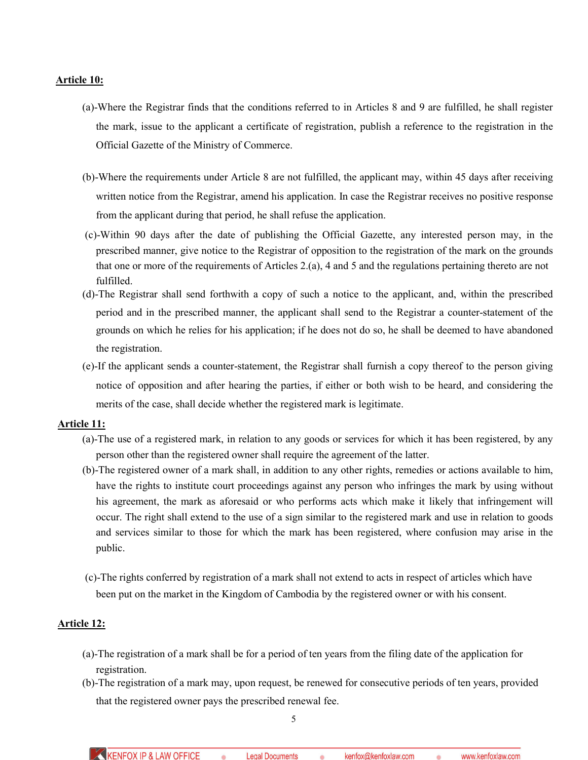#### **Article 10:**

- (a)-Where the Registrar finds that the conditions referred to in Articles 8 and 9 are fulfilled, he shall register the mark, issue to the applicant a certificate of registration, publish a reference to the registration in the Official Gazette of the Ministry of Commerce.
- (b)-Where the requirements under Article 8 are not fulfilled, the applicant may, within 45 days after receiving written notice from the Registrar, amend his application. In case the Registrar receives no positive response from the applicant during that period, he shall refuse the application.
- (c)-Within 90 days after the date of publishing the Official Gazette, any interested person may, in the prescribed manner, give notice to the Registrar of opposition to the registration of the mark on the grounds that one or more of the requirements of Articles 2.(a), 4 and 5 and the regulations pertaining thereto are not fulfilled.
- (d)-The Registrar shall send forthwith a copy of such a notice to the applicant, and, within the prescribed period and in the prescribed manner, the applicant shall send to the Registrar a counter-statement of the grounds on which he relies for his application; if he does not do so, he shall be deemed to have abandoned the registration.
- (e)-If the applicant sends a counter-statement, the Registrar shall furnish a copy thereof to the person giving notice of opposition and after hearing the parties, if either or both wish to be heard, and considering the merits of the case, shall decide whether the registered mark is legitimate.

#### **Article 11:**

- (a)-The use of a registered mark, in relation to any goods or services for which it has been registered, by any person other than the registered owner shall require the agreement of the latter.
- (b)-The registered owner of a mark shall, in addition to any other rights, remedies or actions available to him, have the rights to institute court proceedings against any person who infringes the mark by using without his agreement, the mark as aforesaid or who performs acts which make it likely that infringement will occur. The right shall extend to the use of a sign similar to the registered mark and use in relation to goods and services similar to those for which the mark has been registered, where confusion may arise in the public.
- (c)-The rights conferred by registration of a mark shall not extend to acts in respect of articles which have been put on the market in the Kingdom of Cambodia by the registered owner or with his consent.

#### **Article 12:**

- (a)-The registration of a mark shall be for a period of ten years from the filing date of the application for registration.
- (b)-The registration of a mark may, upon request, be renewed for consecutive periods of ten years, provided that the registered owner pays the prescribed renewal fee.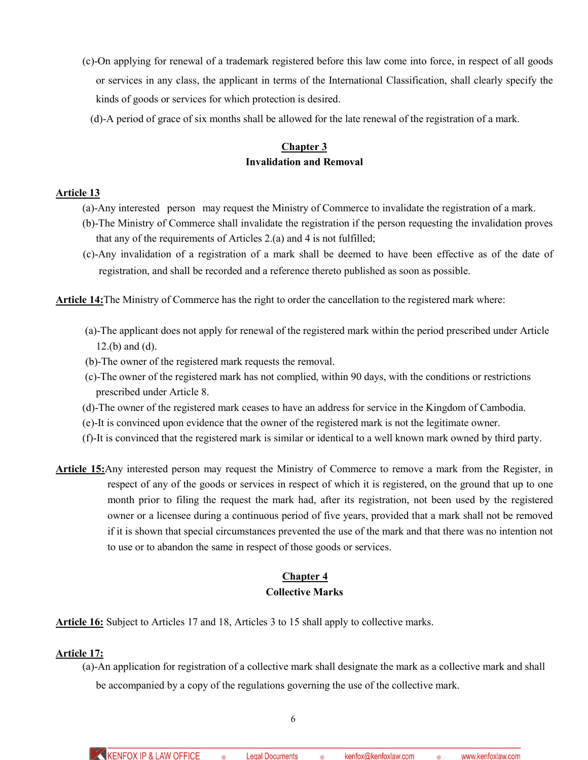- (c)-On applying for renewal of a trademark registered before this law come into force, in respect of all goods or services in any class, the applicant in terms of the International Classification, shall clearly specify the kinds of goods or services for which protection is desired.
	- (d)-A period of grace of six months shall be allowed for the late renewal of the registration of a mark.

## **Chapter 3 Invalidation and Removal**

### **Article 13**

- (a)-Any interested person may request the Ministry of Commerce to invalidate the registration of a mark.
- (b)-The Ministry of Commerce shall invalidate the registration if the person requesting the invalidation proves that any of the requirements of Articles 2.(a) and 4 is not fulfilled;
- (c)-Any invalidation of a registration of a mark shall be deemed to have been effective as of the date of registration, and shall be recorded and a reference thereto published as soon as possible.

**Article 14:**The Ministry of Commerce has the right to order the cancellation to the registered mark where:

- (a)-The applicant does not apply for renewal of the registered mark within the period prescribed under Article 12.(b) and (d).
- (b)-The owner of the registered mark requests the removal.
- (c)-The owner of the registered mark has not complied, within 90 days, with the conditions or restrictions prescribed under Article 8.
- (d)-The owner of the registered mark ceases to have an address for service in the Kingdom of Cambodia.
- (e)-It is convinced upon evidence that the owner of the registered mark is not the legitimate owner.
- (f)-It is convinced that the registered mark is similar or identical to a well known mark owned by third party.
- **Article 15:**Any interested person may request the Ministry of Commerce to remove a mark from the Register, in respect of any of the goods or services in respect of which it is registered, on the ground that up to one month prior to filing the request the mark had, after its registration, not been used by the registered owner or a licensee during a continuous period of five years, provided that a mark shall not be removed if it is shown that special circumstances prevented the use of the mark and that there was no intention not to use or to abandon the same in respect of those goods or services.

## **Chapter 4 Collective Marks**

**Article 16:** Subject to Articles 17 and 18, Articles 3 to 15 shall apply to collective marks.

#### **Article 17:**

(a)-An application for registration of a collective mark shall designate the mark as a collective mark and shall be accompanied by a copy of the regulations governing the use of the collective mark.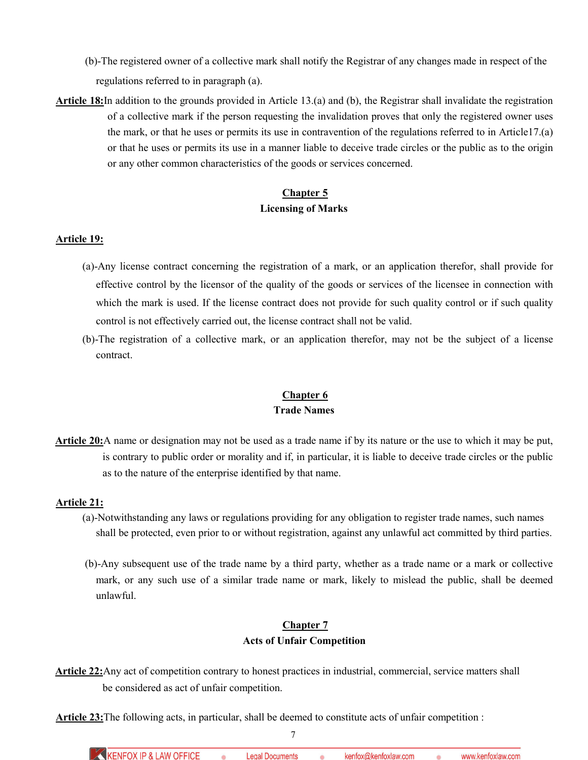- (b)-The registered owner of a collective mark shall notify the Registrar of any changes made in respect of the regulations referred to in paragraph (a).
- **Article 18:**In addition to the grounds provided in Article 13.(a) and (b), the Registrar shall invalidate the registration of a collective mark if the person requesting the invalidation proves that only the registered owner uses the mark, or that he uses or permits its use in contravention of the regulations referred to in Article17.(a) or that he uses or permits its use in a manner liable to deceive trade circles or the public as to the origin or any other common characteristics of the goods or services concerned.

## **Chapter 5 Licensing of Marks**

#### **Article 19:**

- (a)-Any license contract concerning the registration of a mark, or an application therefor, shall provide for effective control by the licensor of the quality of the goods or services of the licensee in connection with which the mark is used. If the license contract does not provide for such quality control or if such quality control is not effectively carried out, the license contract shall not be valid.
- (b)-The registration of a collective mark, or an application therefor, may not be the subject of a license contract.

## **Chapter 6 Trade Names**

**Article 20:**A name or designation may not be used as a trade name if by its nature or the use to which it may be put, is contrary to public order or morality and if, in particular, it is liable to deceive trade circles or the public as to the nature of the enterprise identified by that name.

#### **Article 21:**

- (a)-Notwithstanding any laws or regulations providing for any obligation to register trade names, such names shall be protected, even prior to or without registration, against any unlawful act committed by third parties.
- (b)-Any subsequent use of the trade name by a third party, whether as a trade name or a mark or collective mark, or any such use of a similar trade name or mark, likely to mislead the public, shall be deemed unlawful.

## **Chapter 7 Acts of Unfair Competition**

**Article 22:**Any act of competition contrary to honest practices in industrial, commercial, service matters shall be considered as act of unfair competition.

**Article 23:**The following acts, in particular, shall be deemed to constitute acts of unfair competition :

7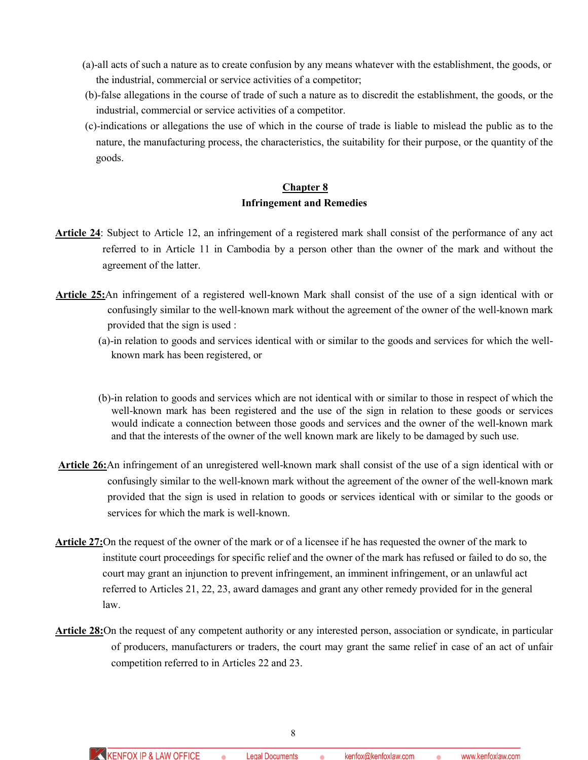- (a)-all acts of such a nature as to create confusion by any means whatever with the establishment, the goods, or the industrial, commercial or service activities of a competitor;
- (b)-false allegations in the course of trade of such a nature as to discredit the establishment, the goods, or the industrial, commercial or service activities of a competitor.
- (c)-indications or allegations the use of which in the course of trade is liable to mislead the public as to the nature, the manufacturing process, the characteristics, the suitability for their purpose, or the quantity of the goods.

## **Chapter 8 Infringement and Remedies**

- **Article 24**: Subject to Article 12, an infringement of a registered mark shall consist of the performance of any act referred to in Article 11 in Cambodia by a person other than the owner of the mark and without the agreement of the latter.
- **Article 25:**An infringement of a registered well-known Mark shall consist of the use of a sign identical with or confusingly similar to the well-known mark without the agreement of the owner of the well-known mark provided that the sign is used :
	- (a)-in relation to goods and services identical with or similar to the goods and services for which the wellknown mark has been registered, or
	- (b)-in relation to goods and services which are not identical with or similar to those in respect of which the well-known mark has been registered and the use of the sign in relation to these goods or services would indicate a connection between those goods and services and the owner of the well-known mark and that the interests of the owner of the well known mark are likely to be damaged by such use.
- **Article 26:**An infringement of an unregistered well-known mark shall consist of the use of a sign identical with or confusingly similar to the well-known mark without the agreement of the owner of the well-known mark provided that the sign is used in relation to goods or services identical with or similar to the goods or services for which the mark is well-known.
- **Article 27:**On the request of the owner of the mark or of a licensee if he has requested the owner of the mark to institute court proceedings for specific relief and the owner of the mark has refused or failed to do so, the court may grant an injunction to prevent infringement, an imminent infringement, or an unlawful act referred to Articles 21, 22, 23, award damages and grant any other remedy provided for in the general law.
- **Article 28:**On the request of any competent authority or any interested person, association or syndicate, in particular of producers, manufacturers or traders, the court may grant the same relief in case of an act of unfair competition referred to in Articles 22 and 23.

8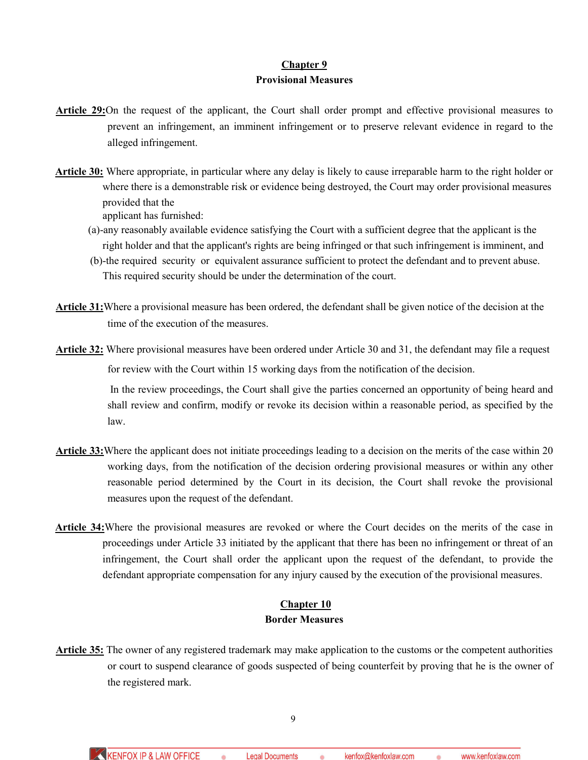# **Chapter 9 Provisional Measures**

- **Article 29:**On the request of the applicant, the Court shall order prompt and effective provisional measures to prevent an infringement, an imminent infringement or to preserve relevant evidence in regard to the alleged infringement.
- **Article 30:** Where appropriate, in particular where any delay is likely to cause irreparable harm to the right holder or where there is a demonstrable risk or evidence being destroyed, the Court may order provisional measures provided that the

applicant has furnished:

- (a)-any reasonably available evidence satisfying the Court with a sufficient degree that the applicant is the right holder and that the applicant's rights are being infringed or that such infringement is imminent, and
- (b)-the required security or equivalent assurance sufficient to protect the defendant and to prevent abuse. This required security should be under the determination of the court.
- **Article 31:**Where a provisional measure has been ordered, the defendant shall be given notice of the decision at the time of the execution of the measures.
- **Article 32:** Where provisional measures have been ordered under Article 30 and 31, the defendant may file a request for review with the Court within 15 working days from the notification of the decision.

In the review proceedings, the Court shall give the parties concerned an opportunity of being heard and shall review and confirm, modify or revoke its decision within a reasonable period, as specified by the law.

- **Article 33:**Where the applicant does not initiate proceedings leading to a decision on the merits of the case within 20 working days, from the notification of the decision ordering provisional measures or within any other reasonable period determined by the Court in its decision, the Court shall revoke the provisional measures upon the request of the defendant.
- **Article 34:**Where the provisional measures are revoked or where the Court decides on the merits of the case in proceedings under Article 33 initiated by the applicant that there has been no infringement or threat of an infringement, the Court shall order the applicant upon the request of the defendant, to provide the defendant appropriate compensation for any injury caused by the execution of the provisional measures.

## **Chapter 10 Border Measures**

**Article 35:** The owner of any registered trademark may make application to the customs or the competent authorities or court to suspend clearance of goods suspected of being counterfeit by proving that he is the owner of the registered mark.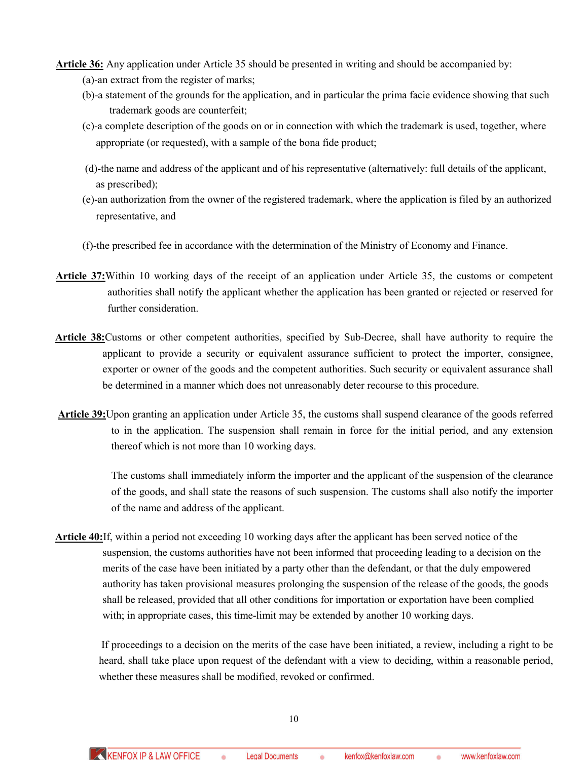#### **Article 36:** Any application under Article 35 should be presented in writing and should be accompanied by:

- (a)-an extract from the register of marks;
- (b)-a statement of the grounds for the application, and in particular the prima facie evidence showing that such trademark goods are counterfeit;
- (c)-a complete description of the goods on or in connection with which the trademark is used, together, where appropriate (or requested), with a sample of the bona fide product;
- (d)-the name and address of the applicant and of his representative (alternatively: full details of the applicant, as prescribed);
- (e)-an authorization from the owner of the registered trademark, where the application is filed by an authorized representative, and
- (f)-the prescribed fee in accordance with the determination of the Ministry of Economy and Finance.
- **Article 37:**Within 10 working days of the receipt of an application under Article 35, the customs or competent authorities shall notify the applicant whether the application has been granted or rejected or reserved for further consideration.
- **Article 38:**Customs or other competent authorities, specified by Sub-Decree, shall have authority to require the applicant to provide a security or equivalent assurance sufficient to protect the importer, consignee, exporter or owner of the goods and the competent authorities. Such security or equivalent assurance shall be determined in a manner which does not unreasonably deter recourse to this procedure.
- **Article 39:**Upon granting an application under Article 35, the customs shall suspend clearance of the goods referred to in the application. The suspension shall remain in force for the initial period, and any extension thereof which is not more than 10 working days.

The customs shall immediately inform the importer and the applicant of the suspension of the clearance of the goods, and shall state the reasons of such suspension. The customs shall also notify the importer of the name and address of the applicant.

**Article 40:**If, within a period not exceeding 10 working days after the applicant has been served notice of the suspension, the customs authorities have not been informed that proceeding leading to a decision on the merits of the case have been initiated by a party other than the defendant, or that the duly empowered authority has taken provisional measures prolonging the suspension of the release of the goods, the goods shall be released, provided that all other conditions for importation or exportation have been complied with; in appropriate cases, this time-limit may be extended by another 10 working days.

If proceedings to a decision on the merits of the case have been initiated, a review, including a right to be heard, shall take place upon request of the defendant with a view to deciding, within a reasonable period, whether these measures shall be modified, revoked or confirmed.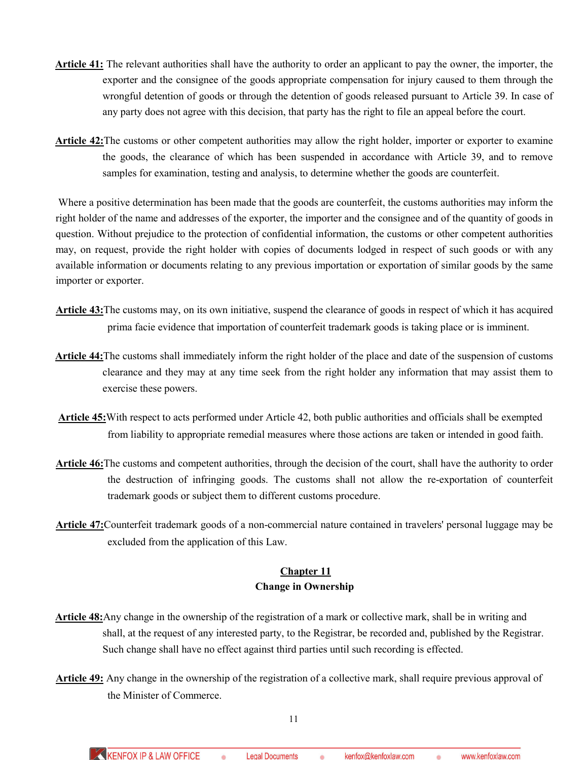- **Article 41:** The relevant authorities shall have the authority to order an applicant to pay the owner, the importer, the exporter and the consignee of the goods appropriate compensation for injury caused to them through the wrongful detention of goods or through the detention of goods released pursuant to Article 39. In case of any party does not agree with this decision, that party has the right to file an appeal before the court.
- **Article 42:**The customs or other competent authorities may allow the right holder, importer or exporter to examine the goods, the clearance of which has been suspended in accordance with Article 39, and to remove samples for examination, testing and analysis, to determine whether the goods are counterfeit.

Where a positive determination has been made that the goods are counterfeit, the customs authorities may inform the right holder of the name and addresses of the exporter, the importer and the consignee and of the quantity of goods in question. Without prejudice to the protection of confidential information, the customs or other competent authorities may, on request, provide the right holder with copies of documents lodged in respect of such goods or with any available information or documents relating to any previous importation or exportation of similar goods by the same importer or exporter.

- **Article 43:**The customs may, on its own initiative, suspend the clearance of goods in respect of which it has acquired prima facie evidence that importation of counterfeit trademark goods is taking place or is imminent.
- **Article 44:**The customs shall immediately inform the right holder of the place and date of the suspension of customs clearance and they may at any time seek from the right holder any information that may assist them to exercise these powers.
- **Article 45:**With respect to acts performed under Article 42, both public authorities and officials shall be exempted from liability to appropriate remedial measures where those actions are taken or intended in good faith.
- **Article 46:**The customs and competent authorities, through the decision of the court, shall have the authority to order the destruction of infringing goods. The customs shall not allow the re-exportation of counterfeit trademark goods or subject them to different customs procedure.
- **Article 47:**Counterfeit trademark goods of a non-commercial nature contained in travelers' personal luggage may be excluded from the application of this Law.

# **Chapter 11 Change in Ownership**

- **Article 48:**Any change in the ownership of the registration of a mark or collective mark, shall be in writing and shall, at the request of any interested party, to the Registrar, be recorded and, published by the Registrar. Such change shall have no effect against third parties until such recording is effected.
- **Article 49:** Any change in the ownership of the registration of a collective mark, shall require previous approval of the Minister of Commerce.



**Legal Documents** kenfox@kenfoxlaw.com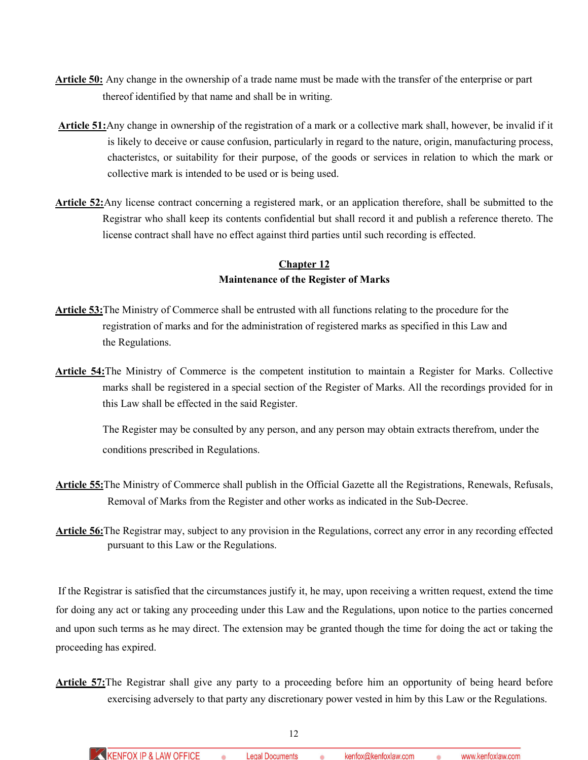- **Article 50:** Any change in the ownership of a trade name must be made with the transfer of the enterprise or part thereof identified by that name and shall be in writing.
- **Article 51:**Any change in ownership of the registration of a mark or a collective mark shall, however, be invalid if it is likely to deceive or cause confusion, particularly in regard to the nature, origin, manufacturing process, chacteristcs, or suitability for their purpose, of the goods or services in relation to which the mark or collective mark is intended to be used or is being used.
- **Article 52:**Any license contract concerning a registered mark, or an application therefore, shall be submitted to the Registrar who shall keep its contents confidential but shall record it and publish a reference thereto. The license contract shall have no effect against third parties until such recording is effected.

# **Chapter 12 Maintenance of the Register of Marks**

- **Article 53:**The Ministry of Commerce shall be entrusted with all functions relating to the procedure for the registration of marks and for the administration of registered marks as specified in this Law and the Regulations.
- **Article 54:**The Ministry of Commerce is the competent institution to maintain a Register for Marks. Collective marks shall be registered in a special section of the Register of Marks. All the recordings provided for in this Law shall be effected in the said Register.

The Register may be consulted by any person, and any person may obtain extracts therefrom, under the conditions prescribed in Regulations.

- **Article 55:**The Ministry of Commerce shall publish in the Official Gazette all the Registrations, Renewals, Refusals, Removal of Marks from the Register and other works as indicated in the Sub-Decree.
- **Article 56:**The Registrar may, subject to any provision in the Regulations, correct any error in any recording effected pursuant to this Law or the Regulations.

If the Registrar is satisfied that the circumstances justify it, he may, upon receiving a written request, extend the time for doing any act or taking any proceeding under this Law and the Regulations, upon notice to the parties concerned and upon such terms as he may direct. The extension may be granted though the time for doing the act or taking the proceeding has expired.

**Article 57:**The Registrar shall give any party to a proceeding before him an opportunity of being heard before exercising adversely to that party any discretionary power vested in him by this Law or the Regulations.

kenfox@kenfoxlaw.com

www.kenfoxlaw.com

**Legal Documents** 

**KENFOX IP & LAW OFFICE**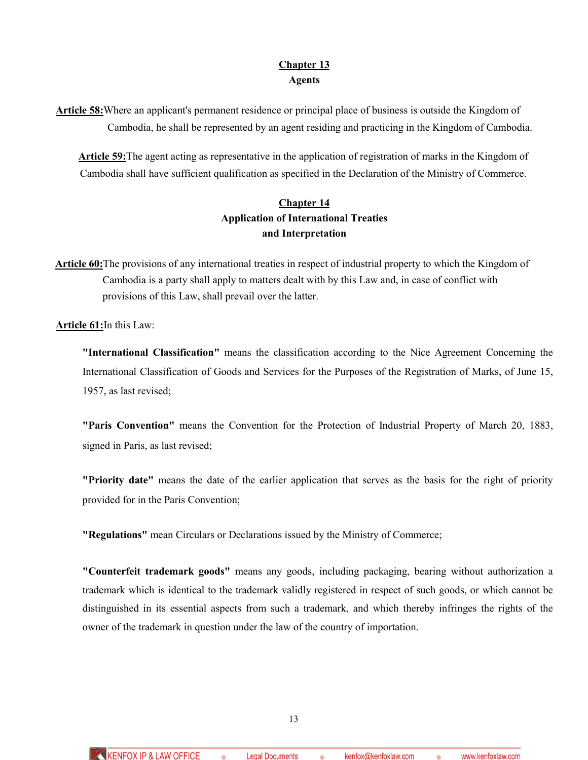## **Chapter 13 Agents**

**Article 58:**Where an applicant's permanent residence or principal place of business is outside the Kingdom of Cambodia, he shall be represented by an agent residing and practicing in the Kingdom of Cambodia.

**Article 59:**The agent acting as representative in the application of registration of marks in the Kingdom of Cambodia shall have sufficient qualification as specified in the Declaration of the Ministry of Commerce.

# **Chapter 14 Application of International Treaties and Interpretation**

**Article 60:**The provisions of any international treaties in respect of industrial property to which the Kingdom of Cambodia is a party shall apply to matters dealt with by this Law and, in case of conflict with provisions of this Law, shall prevail over the latter.

**Article 61:**In this Law:

**"International Classification"** means the classification according to the Nice Agreement Concerning the International Classification of Goods and Services for the Purposes of the Registration of Marks, of June 15, 1957, as last revised;

**"Paris Convention"** means the Convention for the Protection of Industrial Property of March 20, 1883, signed in Paris, as last revised;

**"Priority date"** means the date of the earlier application that serves as the basis for the right of priority provided for in the Paris Convention;

**"Regulations"** mean Circulars or Declarations issued by the Ministry of Commerce;

**"Counterfeit trademark goods"** means any goods, including packaging, bearing without authorization a trademark which is identical to the trademark validly registered in respect of such goods, or which cannot be distinguished in its essential aspects from such a trademark, and which thereby infringes the rights of the owner of the trademark in question under the law of the country of importation.

13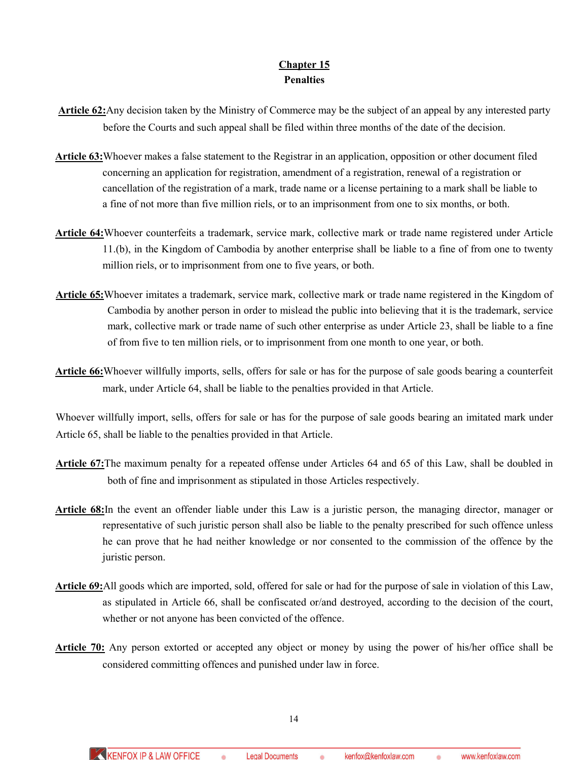# **Chapter 15 Penalties**

- **Article 62:**Any decision taken by the Ministry of Commerce may be the subject of an appeal by any interested party before the Courts and such appeal shall be filed within three months of the date of the decision.
- **Article 63:**Whoever makes a false statement to the Registrar in an application, opposition or other document filed concerning an application for registration, amendment of a registration, renewal of a registration or cancellation of the registration of a mark, trade name or a license pertaining to a mark shall be liable to a fine of not more than five million riels, or to an imprisonment from one to six months, or both.
- **Article 64:**Whoever counterfeits a trademark, service mark, collective mark or trade name registered under Article 11.(b), in the Kingdom of Cambodia by another enterprise shall be liable to a fine of from one to twenty million riels, or to imprisonment from one to five years, or both.
- **Article 65:**Whoever imitates a trademark, service mark, collective mark or trade name registered in the Kingdom of Cambodia by another person in order to mislead the public into believing that it is the trademark, service mark, collective mark or trade name of such other enterprise as under Article 23, shall be liable to a fine of from five to ten million riels, or to imprisonment from one month to one year, or both.
- **Article 66:**Whoever willfully imports, sells, offers for sale or has for the purpose of sale goods bearing a counterfeit mark, under Article 64, shall be liable to the penalties provided in that Article.

Whoever willfully import, sells, offers for sale or has for the purpose of sale goods bearing an imitated mark under Article 65, shall be liable to the penalties provided in that Article.

- **Article 67:**The maximum penalty for a repeated offense under Articles 64 and 65 of this Law, shall be doubled in both of fine and imprisonment as stipulated in those Articles respectively.
- **Article 68:**In the event an offender liable under this Law is a juristic person, the managing director, manager or representative of such juristic person shall also be liable to the penalty prescribed for such offence unless he can prove that he had neither knowledge or nor consented to the commission of the offence by the juristic person.
- **Article 69:**All goods which are imported, sold, offered for sale or had for the purpose of sale in violation of this Law, as stipulated in Article 66, shall be confiscated or/and destroyed, according to the decision of the court, whether or not anyone has been convicted of the offence.
- **Article 70:** Any person extorted or accepted any object or money by using the power of his/her office shall be considered committing offences and punished under law in force.